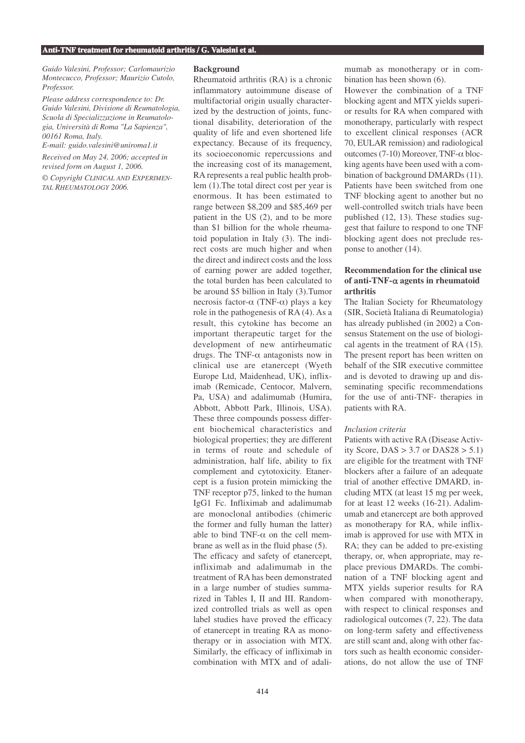*Guido Valesini, Professor; Carlomaurizio Montecucco, Professor; Maurizio Cutolo, Professor.*

*Please address correspondence to: Dr. Guido Valesini, Divisione di Reumatologia, Scuola di Specializzazione in Reumatologia, Università di Roma "La Sapienza", 00161 Roma, Italy.*

*E-mail: guido.valesini@uniroma1.it Received on May 24, 2006; accepted in revised form on August 1, 2006.*

*© Copyright CLINICAL AND EXPERIMEN-TAL RHEUMATOLOGY 2006.*

### **Background**

Rheumatoid arthritis (RA) is a chronic inflammatory autoimmune disease of multifactorial origin usually characterized by the destruction of joints, functional disability, deterioration of the quality of life and even shortened life expectancy. Because of its frequency, its socioeconomic repercussions and the increasing cost of its management, RA represents a real public health problem (1).The total direct cost per year is enormous. It has been estimated to range between \$8,209 and \$85,469 per patient in the US (2), and to be more than \$1 billion for the whole rheumatoid population in Italy (3). The indirect costs are much higher and when the direct and indirect costs and the loss of earning power are added together, the total burden has been calculated to be around \$5 billion in Italy (3).Tumor necrosis factor-α (TNF-α) plays a key role in the pathogenesis of RA (4). As a result, this cytokine has become an important therapeutic target for the development of new antirheumatic drugs. The TNF- $\alpha$  antagonists now in clinical use are etanercept (Wyeth Europe Ltd, Maidenhead, UK), infliximab (Remicade, Centocor, Malvern, Pa, USA) and adalimumab (Humira, Abbott, Abbott Park, Illinois, USA). These three compounds possess different biochemical characteristics and biological properties; they are different in terms of route and schedule of administration, half life, ability to fix complement and cytotoxicity. Etanercept is a fusion protein mimicking the TNF receptor p75, linked to the human IgG1 Fc. Infliximab and adalimumab are monoclonal antibodies (chimeric the former and fully human the latter) able to bind TNF- $\alpha$  on the cell membrane as well as in the fluid phase (5). The efficacy and safety of etanercept, infliximab and adalimumab in the treatment of RA has been demonstrated in a large number of studies summarized in Tables I, II and III. Randomized controlled trials as well as open label studies have proved the efficacy of etanercept in treating RA as monotherapy or in association with MTX. Similarly, the efficacy of infliximab in combination with MTX and of adali-

mumab as monotherapy or in combination has been shown (6).

However the combination of a TNF blocking agent and MTX yields superior results for RA when compared with monotherapy, particularly with respect to excellent clinical responses (ACR 70, EULAR remission) and radiological outcomes (7-10) Moreover, TNF-α blocking agents have been used with a combination of background DMARDs (11). Patients have been switched from one TNF blocking agent to another but no well-controlled switch trials have been published (12, 13). These studies suggest that failure to respond to one TNF blocking agent does not preclude response to another (14).

# **Recommendation for the clinical use of anti-TNF-**α **agents in rheumatoid arthritis**

The Italian Society for Rheumatology (SIR, Società Italiana di Reumatologia) has already published (in 2002) a Consensus Statement on the use of biological agents in the treatment of RA (15). The present report has been written on behalf of the SIR executive committee and is devoted to drawing up and disseminating specific recommendations for the use of anti-TNF- therapies in patients with RA.

### *Inclusion criteria*

Patients with active RA (Disease Activity Score,  $DAS > 3.7$  or  $DAS28 > 5.1$ ) are eligible for the treatment with TNF blockers after a failure of an adequate trial of another effective DMARD, including MTX (at least 15 mg per week, for at least 12 weeks (16-21). Adalimumab and etanercept are both approved as monotherapy for RA, while infliximab is approved for use with MTX in RA; they can be added to pre-existing therapy, or, when appropriate, may replace previous DMARDs. The combination of a TNF blocking agent and MTX yields superior results for RA when compared with monotherapy, with respect to clinical responses and radiological outcomes (7, 22). The data on long-term safety and effectiveness are still scant and, along with other factors such as health economic considerations, do not allow the use of TNF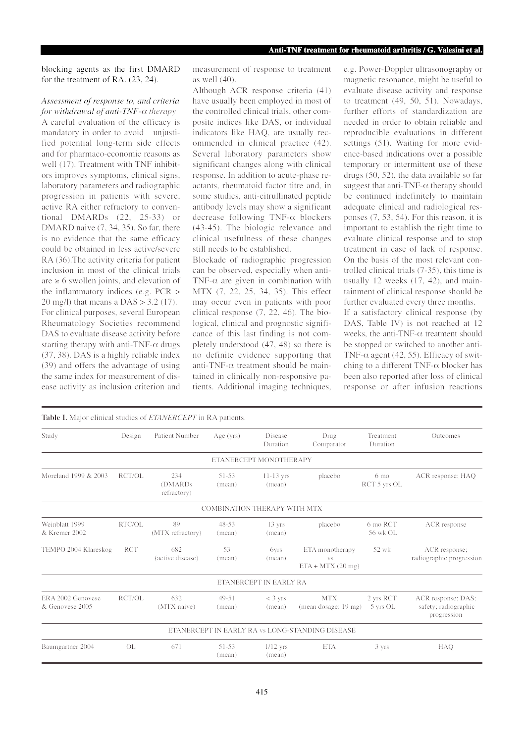blocking agents as the first DMARD for the treatment of RA. (23, 24).

## *Assessment of response to, and criteria for withdrawal of anti-TNF-*<sup>α</sup> *therapy*

A careful evaluation of the efficacy is mandatory in order to avoid unjustified potential long-term side effects and for pharmaco-economic reasons as well (17). Treatment with TNF inhibitors improves symptoms, clinical signs, laboratory parameters and radiographic progression in patients with severe, active RA either refractory to conventional DMARDs (22, 25-33) or DMARD naive  $(7, 34, 35)$ . So far, there is no evidence that the same efficacy could be obtained in less active/severe RA (36).The activity criteria for patient inclusion in most of the clinical trials are  $\geq 6$  swollen joints, and elevation of the inflammatory indices (e.g. PCR > 20 mg/l) that means a DAS > 3.2 (17). For clinical purposes, several European Rheumatology Societies recommend DAS to evaluate disease activity before starting therapy with anti-TNF- $\alpha$  drugs (37, 38). DAS is a highly reliable index (39) and offers the advantage of using the same index for measurement of disease activity as inclusion criterion and

measurement of response to treatment as well (40).

Although ACR response criteria (41) have usually been employed in most of the controlled clinical trials, other composite indices like DAS, or individual indicators like HAQ, are usually recommended in clinical practice (42). Several laboratory parameters show significant changes along with clinical response. In addition to acute-phase reactants, rheumatoid factor titre and, in some studies, anti-citrullinated peptide antibody levels may show a significant decrease following TNF-α blockers (43-45). The biologic relevance and clinical usefulness of these changes still needs to be established.

Blockade of radiographic progression can be observed, especially when anti-TNF- $\alpha$  are given in combination with MTX (7, 22, 25, 34, 35). This effect may occur even in patients with poor clinical response (7, 22, 46). The biological, clinical and prognostic significance of this last finding is not completely understood (47, 48) so there is no definite evidence supporting that anti-TNF- $\alpha$  treatment should be maintained in clinically non-responsive patients. Additional imaging techniques, e.g. Power-Doppler ultrasonography or magnetic resonance, might be useful to evaluate disease activity and response to treatment (49, 50, 51). Nowadays, further efforts of standardization are needed in order to obtain reliable and reproducible evaluations in different settings (51). Waiting for more evidence-based indications over a possible temporary or intermittent use of these drugs (50, 52), the data available so far suggest that anti-TNF- $\alpha$  therapy should be continued indefinitely to maintain adequate clinical and radiological responses (7, 53, 54). For this reason, it is important to establish the right time to evaluate clinical response and to stop treatment in case of lack of response. On the basis of the most relevant controlled clinical trials (7-35), this time is usually 12 weeks (17, 42), and maintainment of clinical response should be further evaluated every three months. If a satisfactory clinical response (by DAS, Table IV) is not reached at 12 weeks, the anti-TNF- $\alpha$  treatment should

be stopped or switched to another anti-TNF- $\alpha$  agent (42, 55). Efficacy of switching to a different TNF- $\alpha$  blocker has been also reported after loss of clinical response or after infusion reactions

| <b>Table I.</b> Major clinical studies of <i>ETANERCEPT</i> in RA patients. |            |                                           |                                     |                            |                                                     |                                 |                                                           |
|-----------------------------------------------------------------------------|------------|-------------------------------------------|-------------------------------------|----------------------------|-----------------------------------------------------|---------------------------------|-----------------------------------------------------------|
| Study                                                                       | Design     | <b>Patient Number</b>                     | Age $(yrs)$                         | Disease<br>Duration        | Drug<br>Comparator                                  | Treatment<br>Duration           | Outcomes                                                  |
|                                                                             |            |                                           |                                     | ETANERCEPT MONOTHERAPY     |                                                     |                                 |                                                           |
| Moreland 1999 & 2003                                                        | RCT/OL     | 234<br>(DMARD <sub>s</sub><br>refractory) | 51-53<br>(mean)                     | $11-13$ yrs<br>(mean)      | placebo                                             | 6 <sub>mo</sub><br>RCT 5 yrs OL | ACR response; HAQ                                         |
|                                                                             |            |                                           | <b>COMBINATION THERAPY WITH MTX</b> |                            |                                                     |                                 |                                                           |
| Weinblatt 1999<br>& Kremer 2002                                             | RTC/OL     | 89<br>(MTX refractory)                    | $48 - 53$<br>(mean)                 | $13 \text{ yrs}$<br>(mean) | placebo                                             | 6 mo RCT<br>56 wk OL            | ACR response                                              |
| TEMPO 2004 Klareskog                                                        | <b>RCT</b> | 682<br>(active disease)                   | 53<br>(mean)                        | 6yrs<br>(mean)             | ETA monotherapy<br><b>VS</b><br>$ETA + MTX$ (20 mg) | 52 wk                           | ACR response;<br>radiographic progression                 |
|                                                                             |            |                                           |                                     | ETANERCEPT IN EARLY RA     |                                                     |                                 |                                                           |
| ERA 2002 Genovese<br>& Genovese 2005                                        | RCT/OL     | 632<br>(MTX naive)                        | 49-51<br>(mean)                     | $<$ 3 yrs<br>(mean)        | <b>MTX</b><br>(mean dosage: 19 mg)                  | 2 yrs RCT<br>5 yrs OL           | ACR response; DAS;<br>safety; radiographic<br>progression |
|                                                                             |            |                                           |                                     |                            | ETANERCEPT IN EARLY RA vs LONG-STANDING DISEASE     |                                 |                                                           |
| Baumgartner 2004                                                            | OL         | 671                                       | 51-53<br>(mean)                     | $1/12$ yrs<br>(mean)       | <b>ETA</b>                                          | 3 yrs                           | HAQ                                                       |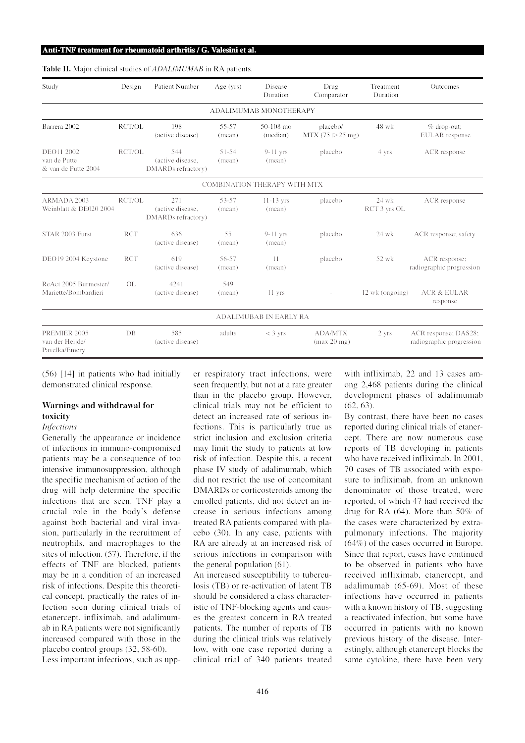|  | Table II. Major clinical studies of ADALIMUMAB in RA patients. |  |
|--|----------------------------------------------------------------|--|
|--|----------------------------------------------------------------|--|

| Study                                             | Design     | <b>Patient Number</b>                         | Age $(yrs)$         | Disease<br>Duration                 | Drug<br>Comparator                          | Treatment<br>Duration   | Outcomes                                         |
|---------------------------------------------------|------------|-----------------------------------------------|---------------------|-------------------------------------|---------------------------------------------|-------------------------|--------------------------------------------------|
|                                                   |            |                                               |                     | ADALIMUMAB MONOTHERAPY              |                                             |                         |                                                  |
| Barrera 2002                                      | RCT/OL     | 198<br>(active disease)                       | 55-57<br>(mean)     | 50-108 mo<br>(median)               | placebo/<br>MTX (75 $\triangleright$ 25 mg) | 48 wk                   | $%$ drop-out;<br><b>EULAR</b> response           |
| DEO11 2002<br>van de Putte<br>& van de Putte 2004 | RCT/OL     | 544<br>(active disease.<br>DMARDs refractory) | $51 - 54$<br>(mean) | $9-11$ yrs<br>(mean)                | placebo                                     | 4 yrs                   | ACR response                                     |
|                                                   |            |                                               |                     | <b>COMBINATION THERAPY WITH MTX</b> |                                             |                         |                                                  |
| ARMADA 2003<br>Weinblatt & DE020 2004             | RCT/OL     | 271<br>(active disease,<br>DMARDs refractory) | 53-57<br>(mean)     | $11-13$ yrs<br>(mean)               | placebo                                     | $24$ wk<br>RCT 3 yrs OL | ACR response                                     |
| STAR 2003 Furst                                   | <b>RCT</b> | 636<br>(active disease)                       | 55<br>(mean)        | $9-11$ yrs<br>(mean)                | placebo                                     | 24 wk                   | ACR response; safety                             |
| DEO19 2004 Keystone                               | <b>RCT</b> | 619<br>(active disease)                       | 56-57<br>(mean)     | 11<br>(mean)                        | placebo                                     | 52 wk                   | ACR response;<br>radiographic progression        |
| ReAct 2005 Burmester/<br>Mariette/Bombardieri     | OL         | 4241<br>(active disease)                      | 549<br>(mean)       | 11 yrs                              |                                             | 12 wk (ongoing)         | <b>ACR &amp; EULAR</b><br>response               |
|                                                   |            |                                               |                     | ADALIMUBAB IN EARLY RA              |                                             |                         |                                                  |
| PREMIER 2005<br>van der Heijde/<br>Pavelka/Emery  | $DB$       | 585<br>(active disease)                       | adults              | $<$ 3 yrs                           | <b>ADA/MTX</b><br>(max 20 mg)               | 2 yrs                   | ACR response; DAS28;<br>radiographic progression |

(56) [14] in patients who had initially demonstrated clinical response.

# **Warnings and withdrawal for toxicity**

## *Infections*

Generally the appearance or incidence of infections in immuno-compromised patients may be a consequence of too intensive immunosuppression, although the specific mechanism of action of the drug will help determine the specific infections that are seen. TNF play a crucial role in the body's defense against both bacterial and viral invasion, particularly in the recruitment of neutrophils, and macrophages to the sites of infection. (57). Therefore, if the effects of TNF are blocked, patients may be in a condition of an increased risk of infections. Despite this theoretical concept, practically the rates of infection seen during clinical trials of etanercept, infliximab, and adalimumab in RA patients were not significantly increased compared with those in the placebo control groups (32, 58-60). Less important infections, such as upper respiratory tract infections, were seen frequently, but not at a rate greater than in the placebo group. However, clinical trials may not be efficient to detect an increased rate of serious infections. This is particularly true as strict inclusion and exclusion criteria may limit the study to patients at low risk of infection. Despite this, a recent phase IV study of adalimumab, which did not restrict the use of concomitant DMARDs or corticosteroids among the enrolled patients, did not detect an increase in serious infections among treated RA patients compared with placebo (30). In any case, patients with RA are already at an increased risk of serious infections in comparison with the general population (61).

An increased susceptibility to tuberculosis (TB) or re-activation of latent TB should be considered a class characteristic of TNF-blocking agents and causes the greatest concern in RA treated patients. The number of reports of TB during the clinical trials was relatively low, with one case reported during a clinical trial of 340 patients treated

with infliximab, 22 and 13 cases among 2,468 patients during the clinical development phases of adalimumab (62, 63).

By contrast, there have been no cases reported during clinical trials of etanercept. There are now numerous case reports of TB developing in patients who have received infliximab. In 2001, 70 cases of TB associated with exposure to infliximab, from an unknown denominator of those treated, were reported, of which 47 had received the drug for RA (64). More than 50% of the cases were characterized by extrapulmonary infections. The majority (64%) of the cases occurred in Europe. Since that report, cases have continued to be observed in patients who have received infliximab, etanercept, and adalimumab (65-69). Most of these infections have occurred in patients with a known history of TB, suggesting a reactivated infection, but some have occurred in patients with no known previous history of the disease. Interestingly, although etanercept blocks the same cytokine, there have been very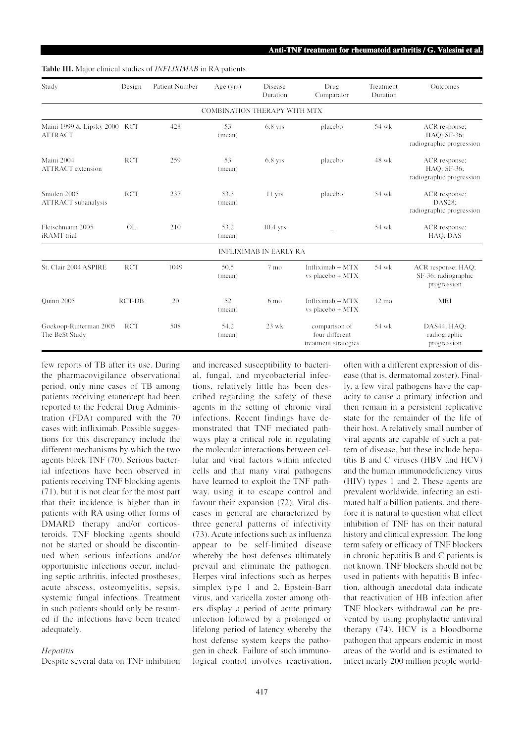**Table III.** Major clinical studies of *INFLIXIMAB* in RA patients.

| Study                                          | Design        | <b>Patient Number</b> | Age $(yrs)$                         | Disease<br>Duration           | Drug<br>Comparator                                      | Treatment<br>Duration | <b>Outcomes</b>                                          |
|------------------------------------------------|---------------|-----------------------|-------------------------------------|-------------------------------|---------------------------------------------------------|-----------------------|----------------------------------------------------------|
|                                                |               |                       | <b>COMBINATION THERAPY WITH MTX</b> |                               |                                                         |                       |                                                          |
| Maini 1999 & Lipsky 2000 RCT<br><b>ATTRACT</b> |               | 428                   | 53<br>(mean)                        | $6.8$ yrs                     | placebo                                                 | 54 wk                 | ACR response;<br>HAO: SF-36;<br>radiographic progression |
| Maini 2004<br><b>ATTRACT</b> extension         | <b>RCT</b>    | 259                   | 53<br>(mean)                        | $6.8$ yrs                     | placebo                                                 | 48 wk                 | ACR response;<br>HAQ; SF-36;<br>radiographic progression |
| Smolen 2005<br><b>ATTRACT</b> subanalysis      | <b>RCT</b>    | 237                   | 53.3<br>(mean)                      | 11 yrs                        | placebo                                                 | 54 wk                 | ACR response;<br>DAS28:<br>radiographic progression      |
| Fleischmann 2005<br>iRAMT trial                | <b>OL</b>     | 210                   | 53.2<br>(mean)                      | $10.4$ yrs                    |                                                         | 54 wk                 | ACR response;<br>HAQ; DAS                                |
|                                                |               |                       |                                     | <b>INFLIXIMAB IN EARLY RA</b> |                                                         |                       |                                                          |
| St. Clair 2004 ASPIRE                          | <b>RCT</b>    | 1049                  | 50.5<br>(mean)                      | 7 mo                          | Infliximab $+$ MTX<br>vs placebo + MTX                  | 54 wk                 | ACR response; HAQ;<br>SF-36; radiographic<br>progression |
| Ouinn 2005                                     | <b>RCT-DB</b> | 20                    | 52<br>(mean)                        | $6 \text{ mo}$                | Infliximab $+$ MTX<br>vs placebo + MTX                  | $12 \text{ mo}$       | MRI                                                      |
| Goekoop-Ruiterman 2005<br>The BeSt Study       | <b>RCT</b>    | 508                   | 54.2<br>(mean)                      | $23$ wk                       | comparison of<br>four different<br>treatment strategies | 54 wk                 | DAS44; HAQ;<br>radiographic<br>progression               |

few reports of TB after its use. During the pharmacovigilance observational period, only nine cases of TB among patients receiving etanercept had been reported to the Federal Drug Administration (FDA) compared with the 70 cases with infliximab. Possible suggestions for this discrepancy include the different mechanisms by which the two agents block TNF (70). Serious bacterial infections have been observed in patients receiving TNF blocking agents (71), but it is not clear for the most part that their incidence is higher than in patients with RA using other forms of DMARD therapy and/or corticosteroids. TNF blocking agents should not be started or should be discontinued when serious infections and/or opportunistic infections occur, including septic arthritis, infected prostheses, acute abscess, osteomyelitis, sepsis, systemic fungal infections. Treatment in such patients should only be resumed if the infections have been treated adequately.

### *Hepatitis*

Despite several data on TNF inhibition

and increased susceptibility to bacterial, fungal, and mycobacterial infections, relatively little has been described regarding the safety of these agents in the setting of chronic viral infections. Recent findings have demonstrated that TNF mediated pathways play a critical role in regulating the molecular interactions between cellular and viral factors within infected cells and that many viral pathogens have learned to exploit the TNF pathway, using it to escape control and favour their expansion (72). Viral diseases in general are characterized by three general patterns of infectivity (73). Acute infections such as influenza appear to be self-limited disease whereby the host defenses ultimately prevail and eliminate the pathogen. Herpes viral infections such as herpes simplex type 1 and 2, Epstein-Barr virus, and varicella zoster among others display a period of acute primary infection followed by a prolonged or lifelong period of latency whereby the host defense system keeps the pathogen in check. Failure of such immunological control involves reactivation, often with a different expression of disease (that is, dermatomal zoster). Finally, a few viral pathogens have the capacity to cause a primary infection and then remain in a persistent replicative state for the remainder of the life of their host. A relatively small number of viral agents are capable of such a pattern of disease, but these include hepatitis B and C viruses (HBV and HCV) and the human immunodeficiency virus (HIV) types 1 and 2. These agents are prevalent worldwide, infecting an estimated half a billion patients, and therefore it is natural to question what effect inhibition of TNF has on their natural history and clinical expression. The long term safety or efficacy of TNF blockers in chronic hepatitis B and C patients is not known. TNF blockers should not be used in patients with hepatitis B infection, although anecdotal data indicate that reactivation of HB infection after TNF blockers withdrawal can be prevented by using prophylactic antiviral therapy (74). HCV is a bloodborne pathogen that appears endemic in most areas of the world and is estimated to infect nearly 200 million people world-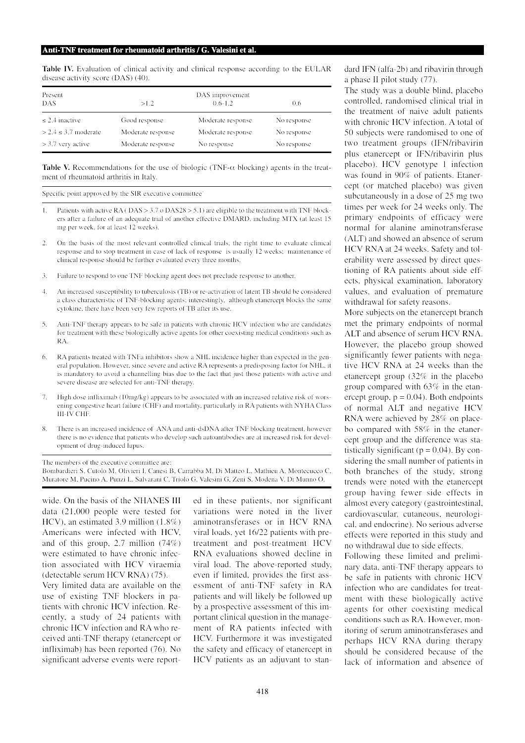**Table IV.** Evaluation of clinical activity and clinical response according to the EULAR disease activity score (DAS) (40).

| Present<br><b>DAS</b>       | >1.2              | DAS improvement<br>$0.6 - 1.2$ | 0.6         |  |
|-----------------------------|-------------------|--------------------------------|-------------|--|
| $\leq$ 2.4 inactive         | Good response     | Moderate response              | No response |  |
| $>$ 2.4 $\leq$ 3.7 moderate | Moderate response | Moderate response              | No response |  |
| $>$ 3.7 very active         | Moderate response | No response                    | No response |  |

**Table V.** Recommendations for the use of biologic (TNF-α blocking) agents in the treatment of rheumatoid arthritis in Italy.

Specific point approved by the SIR executive committee<sup>\*</sup>

- 1. Patients with active RA ( DAS > 3.7 o DAS28 > 5.1) are eligible to the treatment with TNF blockers after a failure of an adequate trial of another effective DMARD, including MTX (at least 15 mg per week, for at least 12 weeks).
- 2. On the basis of the most relevant controlled clinical trials, the right time to evaluate clinical response and to stop treatment in case of lack of response is usually 12 weeks; maintenance of clinical response should be further evaluated every three months.
- 3. Failure to respond to one TNF blocking agent does not preclude response to another.
- 4. An increased susceptibility to tuberculosis (TB) or re-activation of latent TB should be considered a class characteristic of TNF-blocking agents; interestingly, although etanercept blocks the same cytokine, there have been very few reports of TB after its use.
- 5. Anti-TNF therapy appears to be safe in patients with chronic HCV infection who are candidates for treatment with these biologically active agents for other coexisting medical conditions such as RA.
- 6. RA patients treated with TNFa inhibitors show a NHL incidence higher than expected in the general population. However, since severe and active RA represents a predisposing factor for NHL, it is mandatory to avoid a channelling bias due to the fact that just those patients with active and severe disease are selected for anti-TNF therapy.
- 7. High dose infliximab (10mg/kg) appears to be associated with an increased relative risk of worsening congestive heart failure (CHF) and mortality, particularly in RA patients with NYHA Class III-IV CHF.
- 8. There is an increased incidence of ANA and anti-dsDNA after TNF blocking treatment, however there is no evidence that patients who develop such autoantibodies are at increased risk for development of drug-induced lupus.

The members of the executive committee are: Bombardieri S, Cutolo M, Olivieri I, Canesi B, Carrabba M, Di Matteo L, Mathieu A, Montecucco C, Muratore M, Pucino A, Punzi L, Salvarani C, Triolo G, Valesini G, Zeni S, Modena V, Di Munno O.

wide. On the basis of the NHANES III data (21,000 people were tested for HCV), an estimated 3.9 million (1.8%) Americans were infected with HCV, and of this group, 2.7 million (74%) were estimated to have chronic infection associated with HCV viraemia (detectable serum HCV RNA) (75).

Very limited data are available on the use of existing TNF blockers in patients with chronic HCV infection. Recently, a study of 24 patients with chronic HCV infection and RA who received anti-TNF therapy (etanercept or infliximab) has been reported (76). No significant adverse events were reported in these patients, nor significant variations were noted in the liver aminotransferases or in HCV RNA viral loads, yet 16/22 patients with pretreatment and post-treatment HCV RNA evaluations showed decline in viral load. The above-reported study, even if limited, provides the first assessment of anti-TNF safety in RA patients and will likely be followed up by a prospective assessment of this important clinical question in the management of RA patients infected with HCV. Furthermore it was investigated the safety and efficacy of etanercept in HCV patients as an adjuvant to standard IFN (alfa-2b) and ribavirin through a phase II pilot study (77).

The study was a double blind, placebo controlled, randomised clinical trial in the treatment of naive adult patients with chronic HCV infection. A total of 50 subjects were randomised to one of two treatment groups (IFN/ribavirin plus etanercept or IFN/ribavirin plus placebo). HCV genotype 1 infection was found in 90% of patients. Etanercept (or matched placebo) was given subcutaneously in a dose of 25 mg two times per week for 24 weeks only. The primary endpoints of efficacy were normal for alanine aminotransferase (ALT) and showed an absence of serum HCV RNA at 24 weeks. Safety and tolerability were assessed by direct questioning of RA patients about side effects, physical examination, laboratory values, and evaluation of premature withdrawal for safety reasons.

More subjects on the etanercept branch met the primary endpoints of normal ALT and absence of serum HCV RNA. However, the placebo group showed significantly fewer patients with negative HCV RNA at 24 weeks than the etanercept group (32% in the placebo group compared with 63% in the etanercept group,  $p = 0.04$ ). Both endpoints of normal ALT and negative HCV RNA were achieved by 28% on placebo compared with 58% in the etanercept group and the difference was statistically significant ( $p = 0.04$ ). By considering the small number of patients in both branches of the study, strong trends were noted with the etanercept group having fewer side effects in almost every category (gastrointestinal, cardiovascular, cutaneous, neurological, and endocrine). No serious adverse effects were reported in this study and no withdrawal due to side effects.

Following these limited and preliminary data, anti-TNF therapy appears to be safe in patients with chronic HCV infection who are candidates for treatment with these biologically active agents for other coexisting medical conditions such as RA. However, monitoring of serum aminotransferases and perhaps HCV RNA during therapy should be considered because of the lack of information and absence of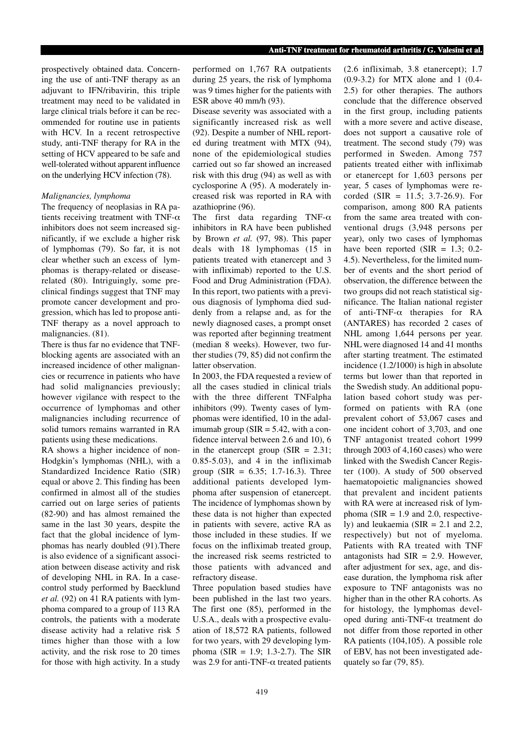prospectively obtained data. Concerning the use of anti-TNF therapy as an adjuvant to IFN/ribavirin, this triple treatment may need to be validated in large clinical trials before it can be recommended for routine use in patients with HCV. In a recent retrospective study, anti-TNF therapy for RA in the setting of HCV appeared to be safe and well-tolerated without apparent influence on the underlying HCV infection (78).

## *Malignancies, lymphoma*

The frequency of neoplasias in RA patients receiving treatment with TNF- $\alpha$ inhibitors does not seem increased significantly, if we exclude a higher risk of lymphomas (79). So far, it is not clear whether such an excess of lymphomas is therapy-related or diseaserelated (80). Intriguingly, some preclinical findings suggest that TNF may promote cancer development and progression, which has led to propose anti-TNF therapy as a novel approach to malignancies. (81).

There is thus far no evidence that TNFblocking agents are associated with an increased incidence of other malignancies or recurrence in patients who have had solid malignancies previously; however *v*igilance with respect to the occurrence of lymphomas and other malignancies including recurrence of solid tumors remains warranted in RA patients using these medications.

RA shows a higher incidence of non-Hodgkin's lymphomas (NHL), with a Standardized Incidence Ratio (SIR) equal or above 2. This finding has been confirmed in almost all of the studies carried out on large series of patients (82-90) and has almost remained the same in the last 30 years, despite the fact that the global incidence of lymphomas has nearly doubled (91).There is also evidence of a significant association between disease activity and risk of developing NHL in RA. In a casecontrol study performed by Baecklund *et al.* (92) on 41 RA patients with lymphoma compared to a group of 113 RA controls, the patients with a moderate disease activity had a relative risk 5 times higher than those with a low activity, and the risk rose to 20 times for those with high activity. In a study performed on 1,767 RA outpatients during 25 years, the risk of lymphoma was 9 times higher for the patients with ESR above 40 mm/h (93).

Disease severity was associated with a significantly increased risk as well (92). Despite a number of NHL reported during treatment with MTX (94), none of the epidemiological studies carried out so far showed an increased risk with this drug (94) as well as with cyclosporine A (95). A moderately increased risk was reported in RA with azathioprine (96).

The first data regarding TNF- $\alpha$ inhibitors in RA have been published by Brown *et al.* (97, 98). This paper deals with 18 lymphomas (15 in patients treated with etanercept and 3 with infliximab) reported to the U.S. Food and Drug Administration (FDA). In this report, two patients with a previous diagnosis of lymphoma died suddenly from a relapse and, as for the newly diagnosed cases, a prompt onset was reported after beginning treatment (median 8 weeks). However, two further studies (79, 85) did not confirm the latter observation.

In 2003, the FDA requested a review of all the cases studied in clinical trials with the three different TNFalpha inhibitors (99). Twenty cases of lymphomas were identified, 10 in the adalimumab group ( $SIR = 5.42$ , with a confidence interval between 2.6 and 10), 6 in the etanercept group (SIR  $= 2.31$ ;  $0.85-5.03$ , and 4 in the infliximab group (SIR =  $6.35$ ; 1.7-16.3). Three additional patients developed lymphoma after suspension of etanercept. The incidence of lymphomas shown by these data is not higher than expected in patients with severe, active RA as those included in these studies. If we focus on the infliximab treated group, the increased risk seems restricted to those patients with advanced and refractory disease.

Three population based studies have been published in the last two years. The first one (85), performed in the U.S.A., deals with a prospective evaluation of 18,572 RA patients, followed for two years, with 29 developing lymphoma (SIR = 1.9; 1.3-2.7). The SIR was 2.9 for anti-TNF- $\alpha$  treated patients (2.6 infliximab, 3.8 etanercept); 1.7 (0.9-3.2) for MTX alone and 1 (0.4- 2.5) for other therapies. The authors conclude that the difference observed in the first group, including patients with a more severe and active disease, does not support a causative role of treatment. The second study (79) was performed in Sweden. Among 757 patients treated either with infliximab or etanercept for 1,603 persons per year, 5 cases of lymphomas were recorded (SIR = 11.5; 3.7-26.9). For comparison, among 800 RA patients from the same area treated with conventional drugs (3,948 persons per year), only two cases of lymphomas have been reported (SIR  $= 1.3$ ; 0.2-4.5). Nevertheless, for the limited number of events and the short period of observation, the difference between the two groups did not reach statistical significance. The Italian national register of anti-TNF-α therapies for RA (ANTARES) has recorded 2 cases of NHL among 1,644 persons per year. NHL were diagnosed 14 and 41 months after starting treatment. The estimated incidence (1.2/1000) is high in absolute terms but lower than that reported in the Swedish study. An additional population based cohort study was performed on patients with RA (one prevalent cohort of 53,067 cases and one incident cohort of 3,703, and one TNF antagonist treated cohort 1999 through 2003 of 4,160 cases) who were linked with the Swedish Cancer Register (100). A study of 500 observed haematopoietic malignancies showed that prevalent and incident patients with RA were at increased risk of lymphoma ( $SIR = 1.9$  and 2.0, respectively) and leukaemia ( $SIR = 2.1$  and 2.2, respectively) but not of myeloma. Patients with RA treated with TNF antagonists had  $SIR = 2.9$ . However, after adjustment for sex, age, and disease duration, the lymphoma risk after exposure to TNF antagonists was no higher than in the other RA cohorts. As for histology, the lymphomas developed during anti-TNF-α treatment do not differ from those reported in other RA patients (104,105). A possible role of EBV, has not been investigated adequately so far (79, 85).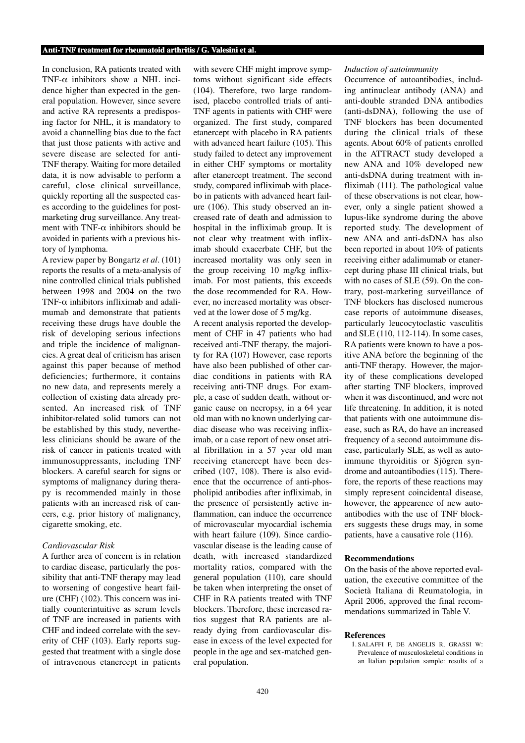In conclusion, RA patients treated with TNF- $\alpha$  inhibitors show a NHL incidence higher than expected in the general population. However, since severe and active RA represents a predisposing factor for NHL, it is mandatory to avoid a channelling bias due to the fact that just those patients with active and severe disease are selected for anti-TNF therapy. Waiting for more detailed data, it is now advisable to perform a careful, close clinical surveillance, quickly reporting all the suspected cases according to the guidelines for postmarketing drug surveillance. Any treatment with TNF- $\alpha$  inhibitors should be avoided in patients with a previous history of lymphoma.

A review paper by Bongartz *et al*. (101) reports the results of a meta-analysis of nine controlled clinical trials published between 1998 and 2004 on the two TNF- $\alpha$  inhibitors infliximab and adalimumab and demonstrate that patients receiving these drugs have double the risk of developing serious infections and triple the incidence of malignancies. A great deal of criticism has arisen against this paper because of method deficiencies; furthermore, it contains no new data, and represents merely a collection of existing data already presented. An increased risk of TNF inhibitor-related solid tumors can not be established by this study, nevertheless clinicians should be aware of the risk of cancer in patients treated with immunosuppressants, including TNF blockers. A careful search for signs or symptoms of malignancy during therapy is recommended mainly in those patients with an increased risk of cancers, e.g. prior history of malignancy, cigarette smoking, etc.

# *Cardiovascular Risk*

A further area of concern is in relation to cardiac disease, particularly the possibility that anti-TNF therapy may lead to worsening of congestive heart failure (CHF) (102). This concern was initially counterintuitive as serum levels of TNF are increased in patients with CHF and indeed correlate with the severity of CHF (103). Early reports suggested that treatment with a single dose of intravenous etanercept in patients

with severe CHF might improve symptoms without significant side effects (104). Therefore, two large randomised, placebo controlled trials of anti-TNF agents in patients with CHF were organized. The first study, compared etanercept with placebo in RA patients with advanced heart failure (105). This study failed to detect any improvement in either CHF symptoms or mortality after etanercept treatment. The second study, compared infliximab with placebo in patients with advanced heart failure (106). This study observed an increased rate of death and admission to hospital in the infliximab group. It is not clear why treatment with infliximab should exacerbate CHF, but the increased mortality was only seen in the group receiving 10 mg/kg infliximab. For most patients, this exceeds the dose recommended for RA. However, no increased mortality was observed at the lower dose of 5 mg/kg.

A recent analysis reported the development of CHF in 47 patients who had received anti-TNF therapy, the majority for RA (107) However, case reports have also been published of other cardiac conditions in patients with RA receiving anti-TNF drugs. For example, a case of sudden death, without organic cause on necropsy, in a 64 year old man with no known underlying cardiac disease who was receiving infliximab, or a case report of new onset atrial fibrillation in a 57 year old man receiving etanercept have been described (107, 108). There is also evidence that the occurrence of anti-phospholipid antibodies after infliximab, in the presence of persistently active inflammation, can induce the occurrence of microvascular myocardial ischemia with heart failure (109). Since cardiovascular disease is the leading cause of death, with increased standardized mortality ratios, compared with the general population (110), care should be taken when interpreting the onset of CHF in RA patients treated with TNF blockers. Therefore, these increased ratios suggest that RA patients are already dying from cardiovascular disease in excess of the level expected for people in the age and sex-matched general population.

#### *Induction of autoimmunity*

Occurrence of autoantibodies, including antinuclear antibody (ANA) and anti-double stranded DNA antibodies (anti-dsDNA), following the use of TNF blockers has been documented during the clinical trials of these agents. About 60% of patients enrolled in the ATTRACT study developed a new ANA and 10% developed new anti-dsDNA during treatment with infliximab (111). The pathological value of these observations is not clear, however, only a single patient showed a lupus-like syndrome during the above reported study. The development of new ANA and anti-dsDNA has also been reported in about 10% of patients receiving either adalimumab or etanercept during phase III clinical trials, but with no cases of SLE (59). On the contrary, post-marketing surveillance of TNF blockers has disclosed numerous case reports of autoimmune diseases, particularly leucocytoclastic vasculitis and SLE (110, 112-114). In some cases, RA patients were known to have a positive ANA before the beginning of the anti-TNF therapy. However, the majority of these complications developed after starting TNF blockers, improved when it was discontinued, and were not life threatening. In addition, it is noted that patients with one autoimmune disease, such as RA, do have an increased frequency of a second autoimmune disease, particularly SLE, as well as autoimmune thyroiditis or Sjögren syndrome and autoantibodies (115). Therefore, the reports of these reactions may simply represent coincidental disease, however, the appearence of new autoantibodies with the use of TNF blockers suggests these drugs may, in some patients, have a causative role (116).

#### **Recommendations**

On the basis of the above reported evaluation, the executive committee of the Società Italiana di Reumatologia, in April 2006, approved the final recommendations summarized in Table V.

#### **References**

1. SALAFFI F, DE ANGELIS R, GRASSI W: Prevalence of musculoskeletal conditions in an Italian population sample: results of a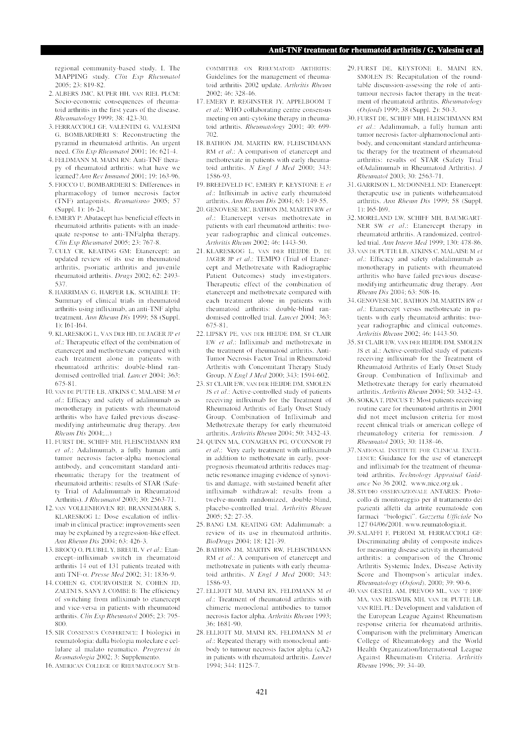regional community-based study. I. The MAPPING study. *Clin Exp Rheumatol* 2005; 23: 819-82.

- 2. ALBERS JMC, KUPER HH, VAN RIEL PLCM: Socio-economic consequences of rheumatoid arthritis in the first years of the disease. *Rheumatology* 1999; 38: 423-30.
- 3. FERRACCIOLI GF, VALENTINI G, VALESINI G, BOMBARDIERI S: Reconstructing the pyramid in rheumatoid arthritis. An urgent need. *Clin Exp Rheumatol* 2001; 16: 621-4.
- 4. FELDMANN M, MAINI RN: Anti-TNF therapy of rheumatoid arthritis: what have we learned? *Ann Rev Immunol* 2001; 19: 163-96.
- 5. FIOCCO U, BOMBARDIERI S: Differences in pharmacology of tumor necrosis factor (TNF) antagonists. *Reumatismo* 2005; 57 (Suppl. 1): 16-24.
- 6. EMERY P: Abatacept has beneficial effects in rheumatoid arthritis patients with an inadequate response to anti-TNFalpha therapy. *Clin Exp Rheumatol* 2005; 23: 767-8.
- 7. CULY CR, KEATING GM: Etanercept: an updated review of its use in rheumatoid arthritis, psoriatic arthritis and juvenile rheumatoid arthritis. *Drugs* 2002; 62: 2493- 537.
- 8. HARRIMAN G, HARPER LK, SCHAIBLE TF: Summary of clinical trials in rheumatoid arthritis using infliximab, an anti-TNF alpha treatment. *Ann Rheum Dis* 1999; 58 (Suppl. 1): I61-I64.
- 9. KLARESKOG L, VAN DER HD, DE JAGER JP *et al*.: Therapeutic effect of the combination of etanercept and methotrexate compared with each treatment alone in patients with rheumatoid arthritis: double-blind randomised controlled trial. *Lancet* 2004; 363: 675-81.
- 10. VAN DE PUTTE LB, ATKINS C, MALAISE M *et al*.: Efficacy and safety of adalimumab as monotherapy in patients with rheumatoid arthritis who have failed previous diseasemodifying antirheumatic drug therapy. *Ann Rheum Dis* 2004;...)
- 11. FURST DE, SCHIFF MH, FLEISCHMANN RM *et al*.: Adalimumab, a fully human anti tumor necrosis factor-alpha monoclonal antibody, and concomitant standard antirheumatic therapy for the treatment of rheumatoid arthritis: results of STAR (Safety Trial of Adalimumab in Rheumatoid Arthritis). *J Rheumatol* 2003; 30: 2563-71.
- 12. VAN VOLLENHOVEN RF, BRANNEMARK S, KLARESKOG L: Dose escalation of infliximab in clinical practice: improvements seen may be explained by a regression-like effect. *Ann Rheum Dis* 2004; 63: 426-3.
- 13. BROCQ O, PLUBEL Y, BREUIL V *et al*.: Etanercept–infliximab switch in rheumatoid arthritis 14 out of 131 patients treated with anti TNF-α. *Presse Med* 2002; 31: 1836-9.
- 14. COHEN G, COURVOISIER N, COHEN JD, ZALTNI S, SANY J, COMBE B: The efficiency of switching from infliximab to etanercept and vice-versa in patients with rheumatoid arthritis. *Clin Exp Rheumatol* 2005; 23: 795- 800.
- 15. SIR CONSENSUS CONFERENCE: I biologici in reumatologia: dalla biologia moleclare e cellulare al malato reumatico. *Progressi in Reumatologia* 2002; 3: Supplemento.
- 16. AMERICAN COLLEGE OF RHEUMATOLOGY SUB-

COMMITTEE ON RHEUMATOID ARTHRITIS: Guidelines for the management of rheumatoid arthritis 2002 update. *Arthritis Rheum* 2002; 46: 328-46.

- 17. EMERY P, REGINSTER JY, APPELBOOM T *et al*.: WHO collaborating centre consensus meeting on anti-cytokine therapy in rheumatoid arthritis. *Rheumatology* 2001; 40: 699- 702.
- 18. BATHON JM, MARTIN RW, FLEISCHMANN RM *et al*.: A comparison of etanercept and methotrexate in patients with early rheumatoid arthritis. *N Engl J Med* 2000; 343: 1586-93.
- 19. BREEDVELD FC, EMERY P, KEYSTONE E *et al*.: Infliximab in active early rheumatoid arthritis. *Ann Rheum Dis* 2004; 63: 149-55.
- 20. GENOVESE MC, BATHON JM, MARTIN RW *et al*.: Etanercept versus methotrexate in patients with earl rheumatoid arthritis: twoyear radiographic and clinical outcomes. *Arthritis Rheum* 2002; 46: 1443-50.
- 21. KLARESKOG L, VAN DER HEIJDE D, DE JAGER JP *et al*.: TEMPO (Trial of Etanercept and Methotrexate with Radiographic Patient Outcomes) study investigators. Therapeutic effect of the combination of etanercept and methotrexate compared with each treatment alone in patients with rheumatoid arthritis: double-blind randomised controlled trial. *Lancet* 2004; 363: 675-81.
- 22. LIPSKY PE, VAN DER HEIJDE DM, ST CLAIR EW *et al*.: Infliximab and methotrexate in the treatment of rheumatoid arthritis. Anti-Tumor Necrosis Factor Trial in Rheumatoid Arthritis with Concomitant Therapy Study Group. *N Engl J Med* 2000; 343: 1594-602.
- 23. ST CLAIR EW, VAN DER HEIJDE DM, SMOLEN JS *et al*.: Active-controlled study of patients receiving infliximab for the Treatment of Rheumatoid Arthritis of Early Onset Study Group. Combination of Infliximab and Methotrexate therapy for early rheumatoid arthritis. *Arthritis Rheum* 2004; 50: 3432-43.
- 24. QUINN MA, CONAGHAN PG, O'CONNOR PJ *et al*.: Very early treatment with infliximab in addition to methotrexate in early, poorprognosis rheumatoid arthritis reduces magnetic resonance imaging evidence of synovitis and damage, with sustained benefit after infliximab withdrawal: results from a twelve-month randomized, double-blind, placebo-controlled trial. *Arthritis Rheum* 2005; 52: 27-35.
- 25. BANG LM, KEATING GM: Adalimumab: a review of its use in rheumatoid arthritis. *BioDrugs* 2004; 18: 121-39.
- 26. BATHON JM, MARTIN RW, FLEISCHMANN RM *et al*.: A comparison of etanercept and methotrexate in patients with early rheumatoid arthritis. *N Engl J Med* 2000; 343: 1586-93.
- 27. ELLIOTT MJ, MAINI RN, FELDMANN M *et al*.: Treatment of rheumatoid arthritis with chimeric monoclonal antibodies to tumor necrosis factor alpha. *Arthritis Rheum* 1993; 36: 1681-90.
- 28. ELLIOTT MJ, MAINI RN, FELDMANN M *et al*.: Repeated therapy with monoclonal antibody to tumour necrosis factor alpha (cA2) in patients with rheumatoid arthritis. *Lancet* 1994; 344: 1125-7.
- 29. FURST DE, KEYSTONE E, MAINI RN, SMOLEN JS: Recapitulation of the roundtable discussion-assessing the role of antitumour necrosis factor therapy in the treatment of rheumatoid arthritis. *Rheumatology* (*Oxford*) 1999; 38 (Suppl. 2): 50-3.
- 30. FURST DE, SCHIFF MH, FLEISCHMANN RM *et al*.: Adalimumab, a fully human anti tumor necrosis factor-alphamonoclonal antibody, and concomitant standard antirheumatic therapy for the treatment of rheumatoid arthritis: results of STAR (Safety Trial ofAdalimumab in Rheumatoid Arthritis). *J Rheumatol* 2003; 30: 2563-71.
- 31. GARRISON L, MCDONNELL ND: Etanercept: therapeutic use in patients withrheumatoid arthritis. *Ann Rheum Dis* 1999; 58 (Suppl. 1): I65-I69.
- 32. MORELAND LW, SCHIFF MH, BAUMGART-NER SW *et al*.: Etanercept therapy in rheumatoid arthritis. A randomized, controlled trial. *Ann Intern Med* 1999; 130: 478-86.
- 33. VAN DE PUTTE LB, ATKINS C, MALAISE M *et al*.: Efficacy and safety ofadalimumab as monotherapy in patients with rheumatoid arthritis who have failed previous diseasemodifying antirheumatic drug therapy. *Ann Rheum Dis* 2004; 63: 508-16.
- 34. GENOVESE MC, BATHON JM, MARTIN RW *et al*.: Etanercept versus methotrexate in patients with early rheumatoid arthritis: twoyear radiographic and clinical outcomes. *Arthritis Rheum* 2002; 46: 1443-50.
- 35. ST CLAIR EW, VAN DER HEIJDE DM, SMOLEN JS et al.: Active-controlled study of patients receiving infliximab for the Treatment of Rheumatoid Arthritis of Early Onset Study Group. Combination of Infliximab and Methotrexate therapy for early rheumatoid arthritis. *Arthritis Rheum* 2004; 50: 3432-43.
- 36. SOKKA T, PINCUS T: Most patients receiving routine care for rheumatoid arthritis in 2001 did not meet inclusion criteria for most recent clinical trials or american college of rheumatology criteria for remission. *J Rheumatol* 2003; 30: 1138-46.
- 37. NATIONAL INSTITUTE FOR CLINICAL EXCEL-LENCE: Guidance for the use of etanercept and infliximab for the treatment of rheumatoid arthritis. *Technology Appraisal Guidance* No 36 2002. www.nice.org.uk .
- 38. STUDIO OSSERVAZIONALE ANTARES: Protocollo di monitoraggio per il trattamento dei pazienti affetti da artrite reumatoide con farmaci "biologici". *Gazzetta Ufficiale* No 127 04/06/2001. www.reumatologia.it.
- 39. SALAFFI F, PERONI M, FERRACCIOLI GF: Discriminating ability of composite indices for measuring disease activity in rheumatoid arthritis: a comparison of the Chronic Arthritis Systemic Index, Disease Activity Score and Thompson's articular index. *Rheumatology* (*Oxford*). 2000; 39: 90-6.
- 40. VAN GESTEL AM, PREVOO ML, VAN 'T HOF MA, VAN RIJSWIJK MH, VAN DE PUTTE LB, VAN RIEL PL: Development and validation of the European League Against Rheumatism response criteria for rheumatoid arthritis. Comparison with the preliminary American College of Rheumatology and the World Health Organization/International League Against Rheumatism Criteria. *Arthritis Rheum* 1996; 39: 34-40.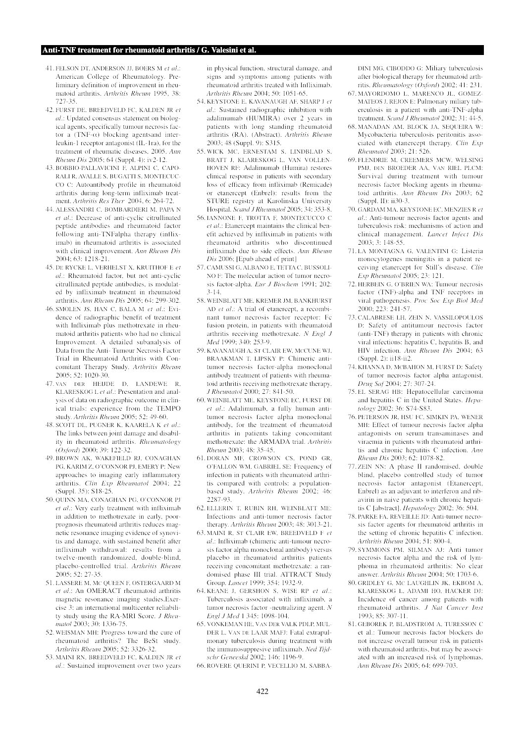- 41. FELSON DT, ANDERSON JJ, BOERS M *et al*.: American College of Rheumatology. Preliminary definition of improvement in rheumatoid arthritis. *Arthritis Rheum* 1995, 38: 727-35.
- 42. FURST DE, BREEDVELD FC, KALDEN JR *et al*.: Updated consensus statement on biological agents, specifically tumour necrosis factor a (TNF- $\alpha$ ) blocking agentsand interleukin-1 receptor antagonist (IL-1ra), for the treatment of rheumatic diseases, 2005. *Ann Rheum Dis* 2005; 64 (Suppl. 4): iv2-12.
- 43. BOBBIO-PALLAVICINI F, ALPINI C, CAPO-RALI R, AVALLE S, BUGATTI S, MONTECUC-CO C: Autoantibody profile in rheumatoid arthritis during long-term infliximab treatment. *Arthritis Res Ther* 2004, 6: 264-72.
- 44. ALESSANDRI C, BOMBARDIERI M, PAPA N *et al*.: Decrease of anti-cyclic citrullinated peptide antibodies and rheumatoid factor following anti-TNFalpha therapy (infliximab) in rheumatoid arthritis is associated with clinical improvement. *Ann Rheum Dis* 2004; 63: 1218-21.
- 45. DE RYCKE L, VERHELST X, KRUITHOF E *et al*.: Rheumatoid factor, but not anti-cyclic citrullinated peptide antibodies, is modulated by infliximab treatment in rheumatoid arthritis. *Ann Rheum Dis* 2005; 64: 299-302.
- 46. SMOLEN JS, HAN C, BALA M *et al*.: Evidence of radiographic benefit of treatment with Infliximab plus methotrexate in rheumatoid arthritis patients who had no clinical Improvement. A detailed subanalysis of Data from the Anti- Tumour Necrosis Factor Trial in Rheumatoid Arthritis with Concomitant Therapy Study. *Arthritis Rheum* 2005; 52: 1020-30.
- 47. VAN DER HEIJDE D, LANDEWE R, KLARESKOG L *et al*.: Presentation and analysis of data on radiographic outcome in clinical trials: experience from the TEMPO study. *Arthritis Rheum* 2005; 52: 49-60.
- 48. SCOTT DL, PUGNER K, KAARELA K *et al*.: The links between joint damage and disability in rheumatoid arthritis. *Rheumatology* (*Oxford*) 2000; 39: 122-32.
- 49. BROWN AK, WAKEFIELD RJ, CONAGHAN PG, KARIM Z, O'CONNOR PJ, EMERY P: New approaches to imaging early inflammatory arthritis. *Clin Exp Rheumatol* 2004; 22 (Suppl. 35): S18-25.
- 50. QUINN MA, CONAGHAN PG, O'CONNOR PJ *et al*.: Very early treatment with infliximab in addition to methotrexate in early, poorprognosis rheumatoid arthritis reduces magnetic resonance imaging evidence of synovitis and damage, with sustained benefit after infliximab withdrawal: results from a twelve-month randomized, double-blind, placebo-controlled trial. *Arthritis Rheum* 2005; 52: 27-35.
- 51. LASSERE M, MC QUEEN F, OSTERGAARD M *et al*.: An OMERACT rheumatoid arthritis magnetic resonance imaging studies.Exercise 3: an international multicenter reliability study using the RA-MRI Score. *J Rheumatol* 2003; 30: 1336-75.
- 52. WEISMAN MH: Progress toward the cure of rheumatoid arthritis? The BeSt study. *Arthritis Rheum* 2005; 52: 3326-32.
- 53. MAINI RN, BREEDVELD FC, KALDEN JR *et al*.: Sustained improvement over two years

in physical function, structural damage, and signs and symptoms among patients with rheumatoid arthritis treated with Infliximab. *Arthritis Rheum* 2004; 50: 1051-65.

- 54. KEYSTONE E, KAVANAUGH AF, SHARP J *et al*.: Sustained radiographic inhibition with adalimumab (HUMIRA) over 2 years in patients with long standing rheumatoid arthritis (RA). (Abstract). *Arthritis Rheum* 2003; 48 (Suppl. 9): S315.
- 55. WICK MC, ERNESTAM S, LINDBLAD S, BRATT J, KLARESKOG L, VAN VOLLEN-HOVEN RF: Adalimumab (Humira) restores clinical response in patients with secondary loss of efficacy from infliximab (Remicade) or etanercept (Enbrel): results from the STURE registry at Karolinska University Hospital. *Scand J Rheumatol* 2005; 34: 353-8.
- 56. IANNONE F, TROTTA F, MONTECUCCO C *et al*.: Etanercept maintains the clinical benefit achieved by infliximab in patients with rheumatoid arthritis who discontinued infliximab due to side effects. *Ann Rheum Dis* 2006; [Epub ahead of print]
- 57. CAMUSSI G, ALBANO E, TETTA C, BUSSOLI-NO F: The molecular action of tumor necrosis factor-alpha. *Eur J Biochem* 1991; 202: 3-14.
- 58. WEINBLATT ME, KREMER JM, BANKHURST AD *et al*.: A trial of etanercept, a recombinant tumor necrosis factor receptor: Fc fusion protein, in patients with rheumatoid arthritis receiving methotrexate. *N Engl J Med* 1999; 340: 253-9.
- 59. KAVANAUGH A, ST CLAIR EW, MCCUNE WJ, BRAAKMAN T, LIPSKY P: Chimeric antitumor necrosis factor-alpha monoclonal antibody treatment of patients with rheumatoid arthritis receiving methotrexate therapy. *J Rheumatol* 2000; 27: 841-50.
- 60. WEINBLATT ME, KEYSTONE EC, FURST DE *et al*.: Adalimumab, a fully human antitumor necrosis factor alpha monoclonal antibody, for the treatment of rheumatoid arthritis in patients taking concomitant methotrexate: the ARMADA trial. *Arthritis Rheum* 2003; 48: 35-45.
- 61. DORAN MF, CROWSON CS, POND GR, O'FALLON WM, GABRIEL SE: Frequency of infection in patients with rheumatoid arthritis compared with controls: a populationbased study. *Arthritis Rheum* 2002; 46: 2287-93.
- 62. ELLERIN T, RUBIN RH, WEINBLATT ME: Infections and anti-tumor necrosis factor therapy. *Arthritis Rheum* 2003; 48: 3013-21.
- 63. MAINI R, ST CLAIR EW, BREEDVELD F *et al*.: Infliximab (chimeric anti-tumour necrosis factor alpha monoclonal antibody) versus placebo in rheumatoid arthritis patients receiving concomitant methotrexate: a randomised phase III trial. ATTRACT Study Group. *Lancet* 1999; 354: 1932-9.
- 64. KEANE J, GERSHON S, WISE RP *et al*.: Tuberculosis associated with infliximab, a tumor necrosis factor -neutralizing agent. *N Engl J Med* 1 345: 1098-104.
- 65. VONKEMAN HE, VAN DER VALK PDLP, MUL-DER L, VAN DE LAAR MAFJ: Fatal extrapulmonary tuberculosis during treatment with the immunosuppresive infliximab. *Ned Tijdschr Geneeskd* 2002; 146: 1196-9.
- 66. ROVERE QUERINI P, VECELLIO M, SABBA-

DINI MG, CIBODDO G: Miliary tuberculosis after biological therapy for rheumatoid arthritis. *Rheumatology* (*Oxford*) 2002; 41: 231.

- 67. MAYORDOMO L, MARENCO JL, GOMEZ-MATEOS J, REJON E: Pulmonary miliary tuberculosis in a patient with anti-TNF-alpha treatment. *Scand J Rheumatol* 2002; 31: 44-5.
- 68. MANADAN AM, BLOCK JA, SEQUEIRA W: Mycobacteria tuberculosis peritonitis associated with etanercept therapy. *Clin Exp Rheumatol* 2003; 21: 526.
- 69. FLENDRIE M, CREEMERS MCW, WELSING PMJ, DEN BROEDER AA, VAN RIEL PLCM: Survival during treatment with tumour necrosis factor blocking agents in rheumatoid arthritis. *Ann Rheum Dis* 2003; 62  $(Sumb.$  II): ii30-3.
- 70. GARDAM MA, KEYSTONE EC, MENZIES R *et al*.: Anti-tumour necrosis factor agents and tuberculosis risk: mechanisms of action and clinical management. *Lancet Infect Dis* 2003; 3: 148-55.
- 71. LA MONTAGNA G, VALENTINI G: Listeria monocytogenes meningitis in a patient receiving etanercept for Still's disease. *Clin Exp Rheumatol* 2005; 23: 121.
- 72. HERBEIN G, O'BRIEN WA: Tumour necrosis factor (TNF)-alpha and TNF receptors in viral pathogenesis. *Proc Soc Exp Biol Med* 2000; 223: 241-57.
- 73. CALABRESE LH, ZEIN N, VASSILOPOULOS D: Safety of antitumour necrosis factor (anti-TNF) therapy in patients with chronic viral infections: hepatitis C, hepatitis B, and HIV infection. *Ann Rheum Dis* 2004; 63 (Suppl. 2): ii18-ii2.
- 74. KHANNA D, MCBAHON M, FURST D: Safety of tumor necrosis factor alpha antagonist. *Drug Saf* 2004; 27: 307-24.
- 75. EL SERAG HB: Hepatocellular carcinoma and hepatitis C in the United States. *Hepatology* 2002; 36: S74-S83.
- 76. PETERSON JR, HSU FC, SIMKIN PA, WENER MH: Effect of tumour necrosis factor alpha antagonists on serum transaminases and viraemia in patients with rheumatoid arthritis and chronic hepatitis C infection. *Ann Rheum Dis* 2003; 62: 1078-82.
- 77. ZEIN NN: A phase II randomised, double blind, placebo controlled study of tumor necrosis factor antagonist (Etanercept, Enbrel) as an adjuvant to interferon and ribavirin in naive patients with chronic hepatitis C [abstract]. *Hepatology* 2002; 36: 504.
- 78. PARKE FA, REVEILLE JD: Anti-tumor necrosis factor agents for rheumatoid arthritis in the setting of chronic hepatitis C infection. *Arthritis Rheum* 2004; 51: 800-4.
- 79. SYMMONS PM, SILMAN AJ: Anti tumor necrosis factor alpha and the risk of lymphoma in rheumatoid arthritis: No clear answer. *Arthritis Rheum* 2004; 50: 1703-6.
- 80. GRIDLEY G, MC LAUGHLIN JK, EKBOM A, KLARESKOG L, ADAMI HO, HACKER DJ: Incidence of cancer among patients with rheumatoid arthritis. *J Nat Cancer Inst* 1993; 85: 307-11.
- 81. GEBOREK P, BLADSTROM A, TURESSON C et al.: Tumour necrosis factor blockers do not increase overall tumour risk in patients with rheumatoid arthritis, but may be associated with an increased risk of lymphomas. *Ann Rheum Dis* 2005; 64: 699-703.